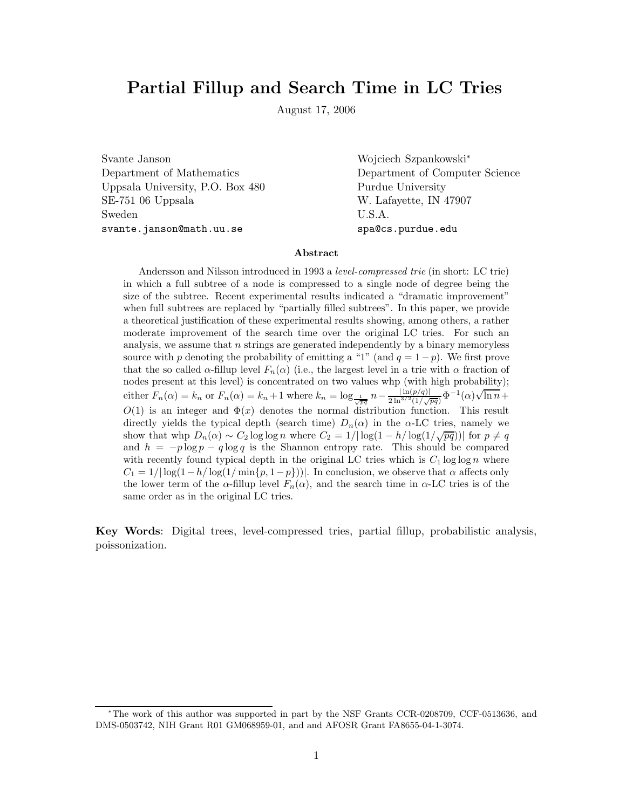# **Partial Fillup and Search Time in LC Tries**

August 17, 2006

Svante Janson Wojciech Szpankowski<sup>∗</sup> Uppsala University, P.O. Box 480 Purdue University SE-751 06 Uppsala W. Lafayette, IN 47907 Sweden U.S.A. svante.janson@math.uu.se spa@cs.purdue.edu

Department of Mathematics Department of Computer Science

#### **Abstract**

Andersson and Nilsson introduced in 1993 a *level-compressed trie* (in short: LC trie) in which a full subtree of a node is compressed to a single node of degree being the size of the subtree. Recent experimental results indicated a "dramatic improvement" when full subtrees are replaced by "partially filled subtrees". In this paper, we provide a theoretical justification of these experimental results showing, among others, a rather moderate improvement of the search time over the original LC tries. For such an analysis, we assume that n strings are generated independently by a binary memoryless source with p denoting the probability of emitting a "1" (and  $q = 1-p$ ). We first prove that the so called  $\alpha$ -fillup level  $F_n(\alpha)$  (i.e., the largest level in a trie with  $\alpha$  fraction of nodes present at this level) is concentrated on two values whp (with high probability); either  $F_n(\alpha) = k_n$  or  $F_n(\alpha) = k_n + 1$  where  $k_n = \log_{\frac{1}{\sqrt{pq}}} n - \frac{|\ln(p/q)|}{2 \ln^{3/2}(1/\sqrt{pq})} \Phi^{-1}(\alpha) \sqrt{\ln n} +$  $O(1)$  is an integer and  $\Phi(x)$  denotes the normal distribution function. This result directly yields the typical depth (search time)  $D_n(\alpha)$  in the  $\alpha$ -LC tries, namely we show that whp  $D_n(\alpha) \sim C_2 \log \log n$  where  $C_2 = 1/|\log(1 - h/\log(1/\sqrt{pq}))|$  for  $p \neq q$ and  $h = -p \log p - q \log q$  is the Shannon entropy rate. This should be compared with recently found typical depth in the original LC tries which is  $C_1 \log \log n$  where  $C_1 = 1/|\log(1-h/\log(1/\min\{p, 1-p\}))|$ . In conclusion, we observe that  $\alpha$  affects only the lower term of the  $\alpha$ -fillup level  $F_n(\alpha)$ , and the search time in  $\alpha$ -LC tries is of the same order as in the original LC tries.

**Key Words**: Digital trees, level-compressed tries, partial fillup, probabilistic analysis, poissonization.

<sup>∗</sup>The work of this author was supported in part by the NSF Grants CCR-0208709, CCF-0513636, and DMS-0503742, NIH Grant R01 GM068959-01, and and AFOSR Grant FA8655-04-1-3074.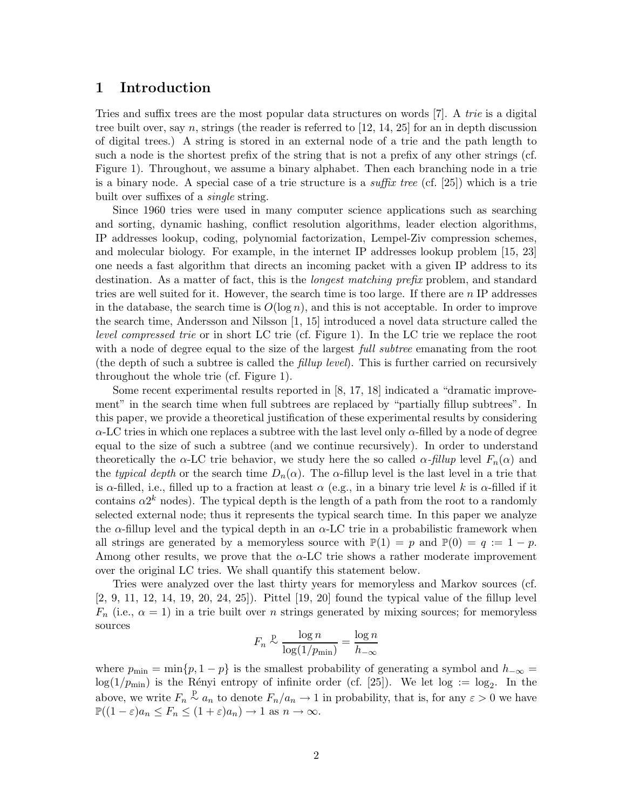### **1 Introduction**

Tries and suffix trees are the most popular data structures on words [7]. A *trie* is a digital tree built over, say n, strings (the reader is referred to  $[12, 14, 25]$  for an in depth discussion of digital trees.) A string is stored in an external node of a trie and the path length to such a node is the shortest prefix of the string that is not a prefix of any other strings (cf. Figure 1). Throughout, we assume a binary alphabet. Then each branching node in a trie is a binary node. A special case of a trie structure is a *suffix tree* (cf. [25]) which is a trie built over suffixes of a *single* string.

Since 1960 tries were used in many computer science applications such as searching and sorting, dynamic hashing, conflict resolution algorithms, leader election algorithms, IP addresses lookup, coding, polynomial factorization, Lempel-Ziv compression schemes, and molecular biology. For example, in the internet IP addresses lookup problem [15, 23] one needs a fast algorithm that directs an incoming packet with a given IP address to its destination. As a matter of fact, this is the *longest matching prefix* problem, and standard tries are well suited for it. However, the search time is too large. If there are  $n \text{ IP}$  addresses in the database, the search time is  $O(\log n)$ , and this is not acceptable. In order to improve the search time, Andersson and Nilsson [1, 15] introduced a novel data structure called the *level compressed trie* or in short LC trie (cf. Figure 1). In the LC trie we replace the root with a node of degree equal to the size of the largest *full subtree* emanating from the root (the depth of such a subtree is called the *fillup level*). This is further carried on recursively throughout the whole trie (cf. Figure 1).

Some recent experimental results reported in [8, 17, 18] indicated a "dramatic improvement" in the search time when full subtrees are replaced by "partially fillup subtrees". In this paper, we provide a theoretical justification of these experimental results by considering  $\alpha$ -LC tries in which one replaces a subtree with the last level only  $\alpha$ -filled by a node of degree equal to the size of such a subtree (and we continue recursively). In order to understand theoretically the  $\alpha$ -LC trie behavior, we study here the so called  $\alpha$ -*fillup* level  $F_n(\alpha)$  and the *typical depth* or the search time  $D_n(\alpha)$ . The  $\alpha$ -fillup level is the last level in a trie that is  $\alpha$ -filled, i.e., filled up to a fraction at least  $\alpha$  (e.g., in a binary trie level k is  $\alpha$ -filled if it contains  $\alpha 2^k$  nodes). The typical depth is the length of a path from the root to a randomly selected external node; thus it represents the typical search time. In this paper we analyze the  $\alpha$ -fillup level and the typical depth in an  $\alpha$ -LC trie in a probabilistic framework when all strings are generated by a memoryless source with  $\mathbb{P}(1) = p$  and  $\mathbb{P}(0) = q := 1 - p$ . Among other results, we prove that the  $\alpha$ -LC trie shows a rather moderate improvement over the original LC tries. We shall quantify this statement below.

Tries were analyzed over the last thirty years for memoryless and Markov sources (cf. [2, 9, 11, 12, 14, 19, 20, 24, 25]). Pittel [19, 20] found the typical value of the fillup level  $F_n$  (i.e.,  $\alpha = 1$ ) in a trie built over n strings generated by mixing sources; for memoryless sources

$$
F_n \overset{\text{p}}{\sim} \frac{\log n}{\log(1/p_{\min})} = \frac{\log n}{h_{-\infty}}
$$

where  $p_{\min} = \min\{p, 1 - p\}$  is the smallest probability of generating a symbol and  $h_{-\infty} =$  $log(1/p_{min})$  is the Rényi entropy of infinite order (cf. [25]). We let  $log := log_2$ . In the above, we write  $F_n \overset{p}{\sim} a_n$  to denote  $F_n/a_n \to 1$  in probability, that is, for any  $\varepsilon > 0$  we have  $\mathbb{P}((1-\varepsilon)a_n \leq F_n \leq (1+\varepsilon)a_n$ )  $\to$  1 as  $n \to \infty$ .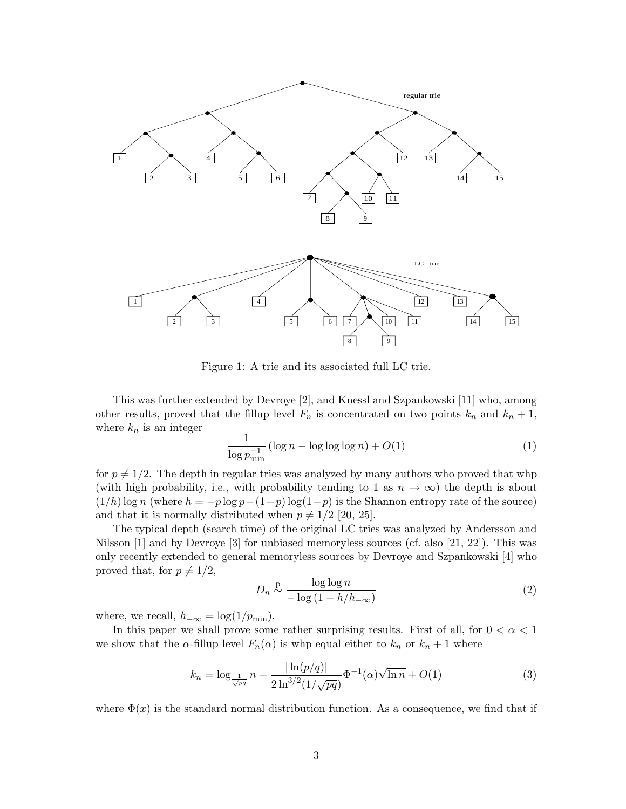

Figure 1: A trie and its associated full LC trie.

This was further extended by Devroye [2], and Knessl and Szpankowski [11] who, among other results, proved that the fillup level  $F_n$  is concentrated on two points  $k_n$  and  $k_n + 1$ , where  $k_n$  is an integer

$$
\frac{1}{\log p_{\min}^{-1}} \left( \log n - \log \log \log n \right) + O(1) \tag{1}
$$

for  $p \neq 1/2$ . The depth in regular tries was analyzed by many authors who proved that whp (with high probability, i.e., with probability tending to 1 as  $n \to \infty$ ) the depth is about  $(1/h)$  log n (where  $h = -p \log p - (1-p) \log(1-p)$  is the Shannon entropy rate of the source) and that it is normally distributed when  $p \neq 1/2$  [20, 25].

The typical depth (search time) of the original LC tries was analyzed by Andersson and Nilsson  $[1]$  and by Devroye  $[3]$  for unbiased memoryless sources (cf. also  $[21, 22]$ ). This was only recently extended to general memoryless sources by Devroye and Szpankowski [4] who proved that, for  $p \neq 1/2$ ,

$$
D_n \stackrel{\text{p}}{\sim} \frac{\log \log n}{-\log \left(1 - \frac{h}{h_{-\infty}}\right)}\tag{2}
$$

where, we recall,  $h_{-\infty} = \log(1/p_{\min}).$ 

In this paper we shall prove some rather surprising results. First of all, for  $0 < \alpha < 1$ we show that the  $\alpha$ -fillup level  $F_n(\alpha)$  is whp equal either to  $k_n$  or  $k_n + 1$  where

$$
k_n = \log_{\frac{1}{\sqrt{pq}}} n - \frac{|\ln(p/q)|}{2\ln^{3/2}(1/\sqrt{pq})} \Phi^{-1}(\alpha) \sqrt{\ln n} + O(1)
$$
 (3)

where  $\Phi(x)$  is the standard normal distribution function. As a consequence, we find that if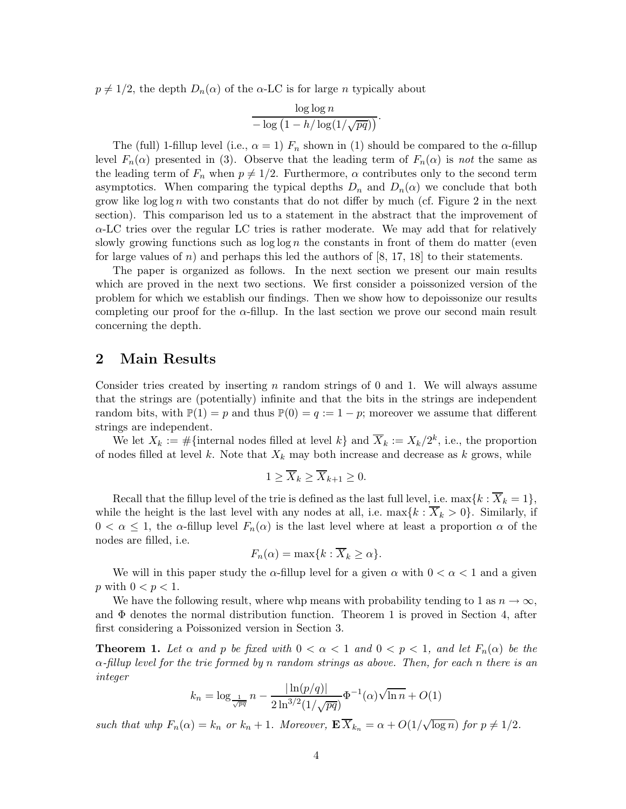$p \neq 1/2$ , the depth  $D_n(\alpha)$  of the  $\alpha$ -LC is for large n typically about

$$
\frac{\log\log n}{-\log\left(1-h/\log(1/\sqrt{pq})\right)}.
$$

The (full) 1-fillup level (i.e.,  $\alpha = 1$ )  $F_n$  shown in (1) should be compared to the  $\alpha$ -fillup level  $F_n(\alpha)$  presented in (3). Observe that the leading term of  $F_n(\alpha)$  is *not* the same as the leading term of  $F_n$  when  $p \neq 1/2$ . Furthermore,  $\alpha$  contributes only to the second term asymptotics. When comparing the typical depths  $D_n$  and  $D_n(\alpha)$  we conclude that both grow like  $\log \log n$  with two constants that do not differ by much (cf. Figure 2 in the next section). This comparison led us to a statement in the abstract that the improvement of  $\alpha$ -LC tries over the regular LC tries is rather moderate. We may add that for relatively slowly growing functions such as  $\log \log n$  the constants in front of them do matter (even for large values of n) and perhaps this led the authors of  $[8, 17, 18]$  to their statements.

The paper is organized as follows. In the next section we present our main results which are proved in the next two sections. We first consider a poissonized version of the problem for which we establish our findings. Then we show how to depoissonize our results completing our proof for the  $\alpha$ -fillup. In the last section we prove our second main result concerning the depth.

### **2 Main Results**

Consider tries created by inserting n random strings of 0 and 1. We will always assume that the strings are (potentially) infinite and that the bits in the strings are independent random bits, with  $\mathbb{P}(1) = p$  and thus  $\mathbb{P}(0) = q := 1 - p$ ; moreover we assume that different strings are independent.

We let  $X_k := \#\{\text{internal nodes filled at level } k\}$  and  $\overline{X}_k := X_k/2^k$ , i.e., the proportion of nodes filled at level k. Note that  $X_k$  may both increase and decrease as k grows, while

$$
1 \ge \overline{X}_k \ge \overline{X}_{k+1} \ge 0.
$$

Recall that the fillup level of the trie is defined as the last full level, i.e.  $\max\{k : X_k = 1\}$ , while the height is the last level with any nodes at all, i.e.  $\max\{k : \overline{X}_k > 0\}$ . Similarly, if  $0 < \alpha \leq 1$ , the  $\alpha$ -fillup level  $F_n(\alpha)$  is the last level where at least a proportion  $\alpha$  of the nodes are filled, i.e.

$$
F_n(\alpha) = \max\{k : \overline{X}_k \ge \alpha\}.
$$

We will in this paper study the  $\alpha$ -fillup level for a given  $\alpha$  with  $0 < \alpha < 1$  and a given p with  $0 < p < 1$ .

We have the following result, where whp means with probability tending to 1 as  $n \to \infty$ , and  $\Phi$  denotes the normal distribution function. Theorem 1 is proved in Section 4, after first considering a Poissonized version in Section 3.

**Theorem 1.** Let  $\alpha$  and  $p$  be fixed with  $0 < \alpha < 1$  and  $0 < p < 1$ , and let  $F_n(\alpha)$  be the α*-fillup level for the trie formed by* n *random strings as above. Then, for each* n *there is an integer*

$$
k_n = \log_{\frac{1}{\sqrt{pq}}} n - \frac{|\ln(p/q)|}{2 \ln^{3/2} (1/\sqrt{pq})} \Phi^{-1}(\alpha) \sqrt{\ln n} + O(1)
$$

*such that whp*  $F_n(\alpha) = k_n$  *or*  $k_n + 1$ *. Moreover,*  $\mathbf{E} \overline{X}_{k_n} = \alpha + O(1/\sqrt{\log n})$  *for*  $p \neq 1/2$ *.*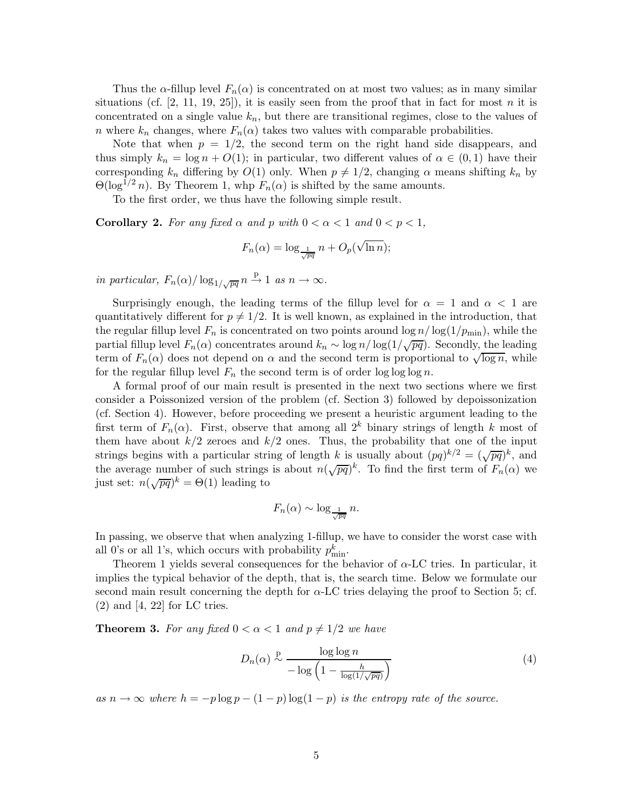Thus the  $\alpha$ -fillup level  $F_n(\alpha)$  is concentrated on at most two values; as in many similar situations (cf.  $[2, 11, 19, 25]$ ), it is easily seen from the proof that in fact for most n it is concentrated on a single value  $k_n$ , but there are transitional regimes, close to the values of n where  $k_n$  changes, where  $F_n(\alpha)$  takes two values with comparable probabilities.

Note that when  $p = 1/2$ , the second term on the right hand side disappears, and thus simply  $k_n = \log n + O(1)$ ; in particular, two different values of  $\alpha \in (0,1)$  have their corresponding  $k_n$  differing by  $O(1)$  only. When  $p \neq 1/2$ , changing  $\alpha$  means shifting  $k_n$  by  $\Theta(\log^{1/2} n)$ . By Theorem 1, whp  $F_n(\alpha)$  is shifted by the same amounts.

To the first order, we thus have the following simple result.

**Corollary 2.** For any fixed  $\alpha$  and  $p$  with  $0 < \alpha < 1$  and  $0 < p < 1$ ,

$$
F_n(\alpha) = \log_{\frac{1}{\sqrt{pq}}} n + O_p(\sqrt{\ln n});
$$

*in particular,*  $F_n(\alpha) / \log_{1/\sqrt{pq}} n \stackrel{\text{p}}{\rightarrow} 1$  *as*  $n \rightarrow \infty$ *.* 

Surprisingly enough, the leading terms of the fillup level for  $\alpha = 1$  and  $\alpha < 1$  are quantitatively different for  $p \neq 1/2$ . It is well known, as explained in the introduction, that the regular fillup level  $F_n$  is concentrated on two points around  $\log n / \log(1/p_{\min})$ , while the partial fillup level  $F_n(\alpha)$  concentrates around  $k_n \sim \log n / \log(1/\sqrt{pq})$ . Secondly, the leading term of  $F_n(\alpha)$  does not depend on  $\alpha$  and the second term is proportional to  $\sqrt{\log n}$ , while for the regular fillup level  $F_n$  the second term is of order log log log n.

A formal proof of our main result is presented in the next two sections where we first consider a Poissonized version of the problem (cf. Section 3) followed by depoissonization (cf. Section 4). However, before proceeding we present a heuristic argument leading to the first term of  $F_n(\alpha)$ . First, observe that among all  $2^k$  binary strings of length k most of them have about  $k/2$  zeroes and  $k/2$  ones. Thus, the probability that one of the input strings begins with a particular string of length k is usually about  $(pq)^{k/2} = (\sqrt{pq})^k$ , and the average number of such strings is about  $n(\sqrt{pq})^k$ . To find the first term of  $F_n(\alpha)$  we just set:  $n(\sqrt{pq})^k = \Theta(1)$  leading to

$$
F_n(\alpha) \sim \log_{\frac{1}{\sqrt{pq}}} n.
$$

In passing, we observe that when analyzing 1-fillup, we have to consider the worst case with all 0's or all 1's, which occurs with probability  $p_{\min}^k$ .<br>Theorem 1 yields several consequences for the b

Theorem 1 yields several consequences for the behavior of  $\alpha$ -LC tries. In particular, it implies the typical behavior of the depth, that is, the search time. Below we formulate our second main result concerning the depth for  $\alpha$ -LC tries delaying the proof to Section 5; cf.  $(2)$  and  $[4, 22]$  for LC tries.

**Theorem 3.** For any fixed  $0 < \alpha < 1$  and  $p \neq 1/2$  we have

$$
D_n(\alpha) \stackrel{\text{p}}{\sim} \frac{\log \log n}{-\log \left(1 - \frac{h}{\log(1/\sqrt{pq})}\right)}\tag{4}
$$

*as*  $n \to \infty$  *where*  $h = -p \log p - (1 - p) \log(1 - p)$  *is the entropy rate of the source.*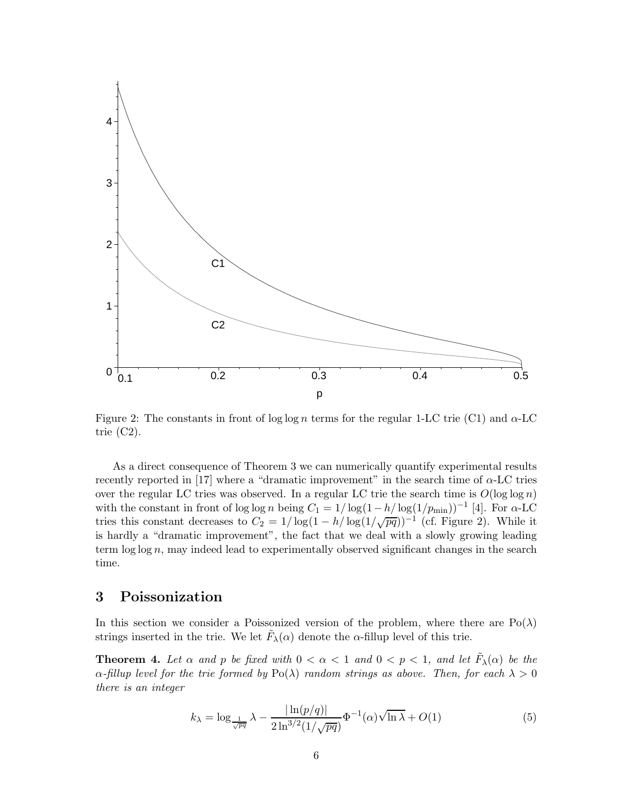

Figure 2: The constants in front of log log n terms for the regular 1-LC trie (C1) and  $\alpha$ -LC trie  $(C2)$ .

As a direct consequence of Theorem 3 we can numerically quantify experimental results recently reported in [17] where a "dramatic improvement" in the search time of  $\alpha$ -LC tries over the regular LC tries was observed. In a regular LC trie the search time is  $O(\log \log n)$ with the constant in front of log log n being  $C_1 = 1/\log(1-h/\log(1/p_{\min}))^{-1}$  [4]. For  $\alpha$ -LC tries this constant decreases to  $C_2 = 1/\log(1 - h/\log(1/\sqrt{pq}))^{-1}$  (cf. Figure 2). While it is bandly a "decrease" the fact that we declare it a column looding is hardly a "dramatic improvement", the fact that we deal with a slowly growing leading term log log n, may indeed lead to experimentally observed significant changes in the search time.

## **3 Poissonization**

In this section we consider a Poissonized version of the problem, where there are  $Po(\lambda)$ strings inserted in the trie. We let  $\tilde{F}_{\lambda}(\alpha)$  denote the  $\alpha$ -fillup level of this trie.

**Theorem 4.** Let  $\alpha$  and  $p$  be fixed with  $0 < \alpha < 1$  and  $0 < p < 1$ , and let  $F_{\lambda}(\alpha)$  be the  $\alpha$ -fillup level for the trie formed by Po( $\lambda$ ) random strings as above. Then, for each  $\lambda > 0$ *there is an integer*

$$
k_{\lambda} = \log_{\frac{1}{\sqrt{pq}}} \lambda - \frac{|\ln(p/q)|}{2\ln^{3/2}(1/\sqrt{pq})} \Phi^{-1}(\alpha) \sqrt{\ln \lambda} + O(1)
$$
 (5)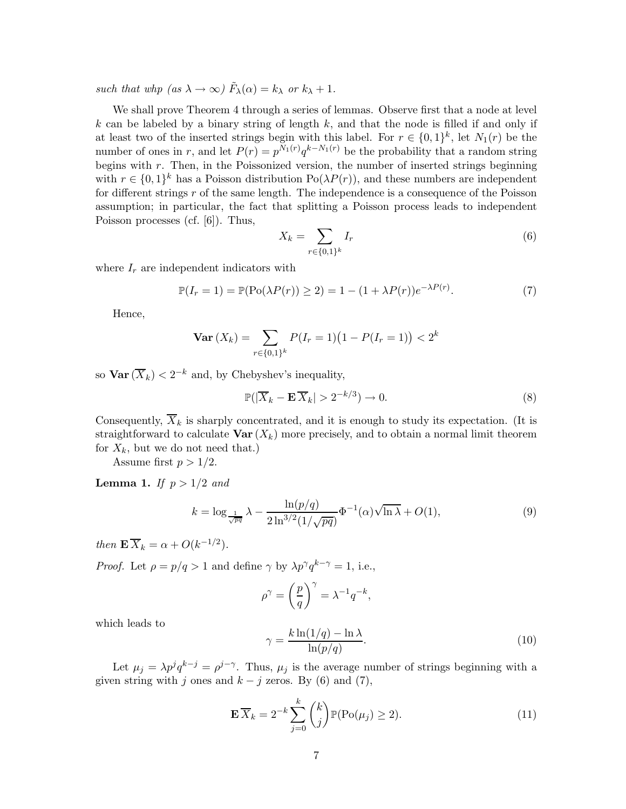*such that whp (as*  $\lambda \to \infty$ )  $\tilde{F}_{\lambda}(\alpha) = k_{\lambda}$  *or*  $k_{\lambda} + 1$ *.* 

We shall prove Theorem 4 through a series of lemmas. Observe first that a node at level  $k$  can be labeled by a binary string of length  $k$ , and that the node is filled if and only if at least two of the inserted strings begin with this label. For  $r \in \{0,1\}^k$ , let  $N_1(r)$  be the number of ones in r, and let  $P(r) = p^{N_1(r)}q^{k-N_1(r)}$  be the probability that a random string begins with  $r$ . Then, in the Poissonized version, the number of inserted strings beginning with  $r \in \{0,1\}^k$  has a Poisson distribution  $Po(\lambda P(r))$ , and these numbers are independent for different strings  $r$  of the same length. The independence is a consequence of the Poisson assumption; in particular, the fact that splitting a Poisson process leads to independent Poisson processes (cf. [6]). Thus,

$$
X_k = \sum_{r \in \{0,1\}^k} I_r \tag{6}
$$

where  $I_r$  are independent indicators with

$$
\mathbb{P}(I_r = 1) = \mathbb{P}(\text{Po}(\lambda P(r)) \ge 2) = 1 - (1 + \lambda P(r))e^{-\lambda P(r)}.
$$
 (7)

Hence,

$$
\mathbf{Var}\left(X_k\right) = \sum_{r \in \{0,1\}^k} P(I_r = 1) \big(1 - P(I_r = 1)\big) < 2^k
$$

so  $\text{Var}(\overline{X}_k) < 2^{-k}$  and, by Chebyshev's inequality,

$$
\mathbb{P}(|\overline{X}_k - \mathbf{E}\,\overline{X}_k| > 2^{-k/3}) \to 0. \tag{8}
$$

Consequently,  $\overline{X}_k$  is sharply concentrated, and it is enough to study its expectation. (It is straightforward to calculate  $\text{Var}(X_k)$  more precisely, and to obtain a normal limit theorem for  $X_k$ , but we do not need that.)

Assume first  $p > 1/2$ .

**Lemma 1.** *If*  $p > 1/2$  *and* 

$$
k = \log_{\frac{1}{\sqrt{pq}}} \lambda - \frac{\ln(p/q)}{2\ln^{3/2}(1/\sqrt{pq})} \Phi^{-1}(\alpha) \sqrt{\ln \lambda} + O(1),\tag{9}
$$

*then*  $\mathbf{E} \overline{X}_k = \alpha + O(k^{-1/2}).$ 

*Proof.* Let  $\rho = p/q > 1$  and define  $\gamma$  by  $\lambda p^{\gamma} q^{k-\gamma} = 1$ , i.e.,

$$
\rho^{\gamma} = \left(\frac{p}{q}\right)^{\gamma} = \lambda^{-1}q^{-k},
$$

which leads to

$$
\gamma = \frac{k \ln(1/q) - \ln \lambda}{\ln(p/q)}.
$$
\n(10)

Let  $\mu_j = \lambda p^j q^{k-j} = \rho^{j-\gamma}$ . Thus,  $\mu_j$  is the average number of strings beginning with a given string with j ones and  $k - j$  zeros. By (6) and (7),

$$
\mathbf{E}\overline{X}_k = 2^{-k} \sum_{j=0}^k {k \choose j} \mathbb{P}(\text{Po}(\mu_j) \ge 2). \tag{11}
$$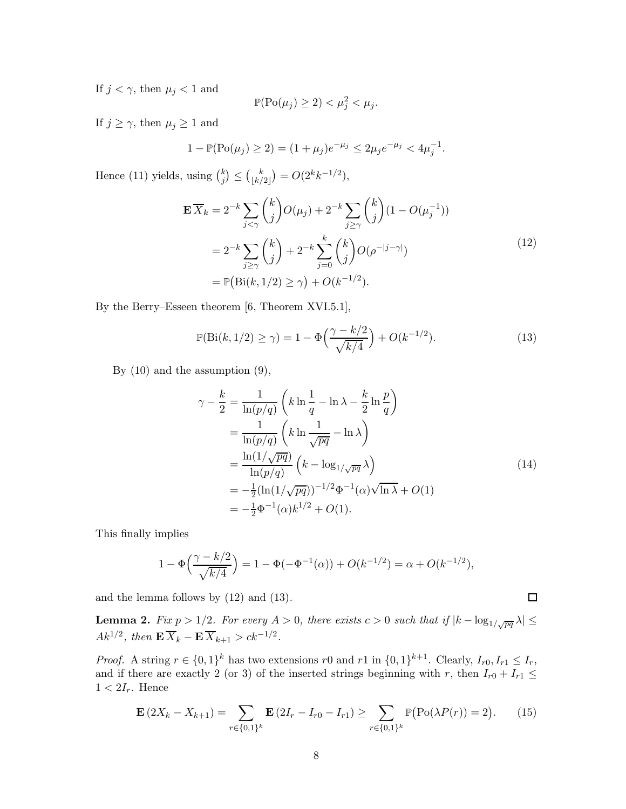If  $j < \gamma$ , then  $\mu_j < 1$  and

$$
\mathbb{P}(\text{Po}(\mu_j) \ge 2) < \mu_j^2 < \mu_j.
$$

If  $j \geq \gamma$ , then  $\mu_j \geq 1$  and

$$
1 - \mathbb{P}(\text{Po}(\mu_j) \ge 2) = (1 + \mu_j)e^{-\mu_j} \le 2\mu_j e^{-\mu_j} < 4\mu_j^{-1}.
$$

Hence (11) yields, using  $\binom{k}{j} \leq \binom{k}{\lfloor k/2 \rfloor}$  $\binom{k}{\lfloor k/2 \rfloor} = O(2^k k^{-1/2}),$ 

$$
\mathbf{E}\overline{X}_k = 2^{-k} \sum_{j < \gamma} {k \choose j} O(\mu_j) + 2^{-k} \sum_{j \ge \gamma} {k \choose j} (1 - O(\mu_j^{-1}))
$$
  
= 
$$
2^{-k} \sum_{j \ge \gamma} {k \choose j} + 2^{-k} \sum_{j=0}^{k} {k \choose j} O(\rho^{-|j-\gamma|})
$$
  
= 
$$
\mathbb{P}(\text{Bi}(k, 1/2) \ge \gamma) + O(k^{-1/2}).
$$
 (12)

By the Berry–Esseen theorem [6, Theorem XVI.5.1],

$$
\mathbb{P}(\text{Bi}(k, 1/2) \ge \gamma) = 1 - \Phi\left(\frac{\gamma - k/2}{\sqrt{k/4}}\right) + O(k^{-1/2}).\tag{13}
$$

By (10) and the assumption (9),

$$
\gamma - \frac{k}{2} = \frac{1}{\ln(p/q)} \left( k \ln \frac{1}{q} - \ln \lambda - \frac{k}{2} \ln \frac{p}{q} \right)
$$
  
\n
$$
= \frac{1}{\ln(p/q)} \left( k \ln \frac{1}{\sqrt{pq}} - \ln \lambda \right)
$$
  
\n
$$
= \frac{\ln(1/\sqrt{pq})}{\ln(p/q)} \left( k - \log_{1/\sqrt{pq}} \lambda \right)
$$
  
\n
$$
= -\frac{1}{2} (\ln(1/\sqrt{pq}))^{-1/2} \Phi^{-1}(\alpha) \sqrt{\ln \lambda} + O(1)
$$
  
\n
$$
= -\frac{1}{2} \Phi^{-1}(\alpha) k^{1/2} + O(1).
$$
 (14)

 $\Box$ 

This finally implies

$$
1 - \Phi\left(\frac{\gamma - k/2}{\sqrt{k/4}}\right) = 1 - \Phi(-\Phi^{-1}(\alpha)) + O(k^{-1/2}) = \alpha + O(k^{-1/2}),
$$

and the lemma follows by (12) and (13).

**Lemma 2.** *Fix*  $p > 1/2$ *. For every*  $A > 0$ *, there exists*  $c > 0$  *such that if*  $|k - \log_{1/\sqrt{pq}} \lambda| \le$  $Ak^{1/2}$ , then  $\mathbf{E} \overline{X}_k - \mathbf{E} \overline{X}_{k+1} > ck^{-1/2}$ .

*Proof.* A string  $r \in \{0,1\}^k$  has two extensions r0 and r1 in  $\{0,1\}^{k+1}$ . Clearly,  $I_{r0}, I_{r1} \leq I_r$ , and if there are exactly 2 (or 3) of the inserted strings beginning with r, then  $I_{r0} + I_{r1} \leq$  $1 < 2I_r$ . Hence

$$
\mathbf{E}\left(2X_k - X_{k+1}\right) = \sum_{r \in \{0,1\}^k} \mathbf{E}\left(2I_r - I_{r0} - I_{r1}\right) \ge \sum_{r \in \{0,1\}^k} \mathbb{P}\left(\text{Po}(\lambda P(r)) = 2\right). \tag{15}
$$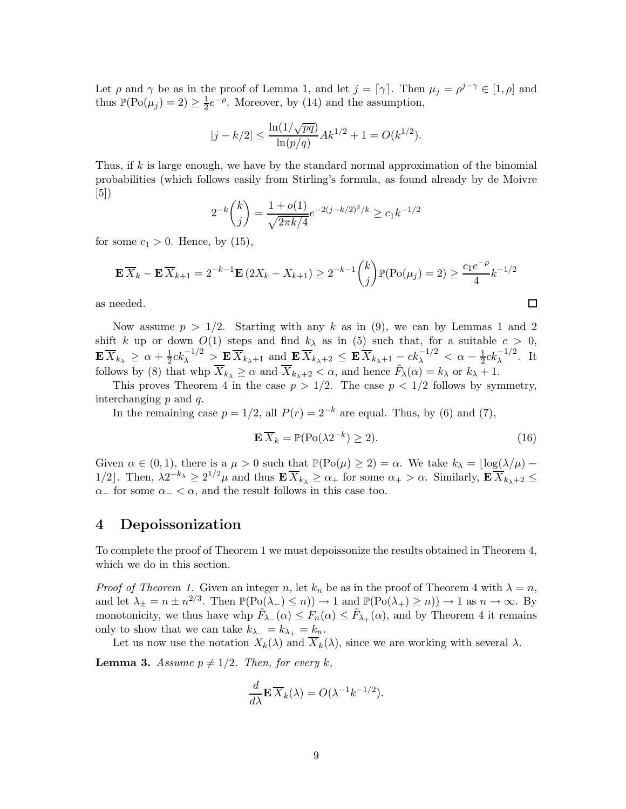Let  $\rho$  and  $\gamma$  be as in the proof of Lemma 1, and let  $j = \lceil \gamma \rceil$ . Then  $\mu_j = \rho^{j-\gamma} \in [1, \rho]$  and thus  $\mathbb{P}(\text{Po}(\mu_j) = 2) \ge \frac{1}{2}e^{-\rho}$ . Moreover, by (14) and the assumption,

$$
|j - k/2| \le \frac{\ln(1/\sqrt{pq})}{\ln(p/q)} Ak^{1/2} + 1 = O(k^{1/2}).
$$

Thus, if k is large enough, we have by the standard normal approximation of the binomial probabilities (which follows easily from Stirling's formula, as found already by de Moivre  $|5|)$ 

$$
2^{-k} {k \choose j} = \frac{1 + o(1)}{\sqrt{2\pi k/4}} e^{-2(j - k/2)^2/k} \ge c_1 k^{-1/2}
$$

for some  $c_1 > 0$ . Hence, by (15),

$$
\mathbf{E}\overline{X}_k - \mathbf{E}\overline{X}_{k+1} = 2^{-k-1}\mathbf{E}(2X_k - X_{k+1}) \ge 2^{-k-1} {k \choose j} \mathbb{P}(\text{Po}(\mu_j) = 2) \ge \frac{c_1 e^{-\rho}}{4} k^{-1/2}
$$

as needed.

Now assume  $p > 1/2$ . Starting with any k as in (9), we can by Lemmas 1 and 2 shift k up or down  $O(1)$  steps and find  $k_{\lambda}$  as in (5) such that, for a suitable  $c > 0$ ,  $\mathbf{E} \overline{X}_{k_{\lambda}} \geq \alpha + \frac{1}{2} c k_{\lambda}^{-1/2} > \mathbf{E} \overline{X}_{k_{\lambda}+1}$  and  $\mathbf{E} \overline{X}_{k_{\lambda}+2} \leq \mathbf{E} \overline{X}_{k_{\lambda}+1} - c k_{\lambda}^{-1/2} < \alpha - \frac{1}{2} c k_{\lambda}^{-1/2}$ . It follows by (8) that who  $\overline{X}_{k_{\lambda}} > \alpha$  and  $\overline{X}_{k_{\lambda}} > \alpha$  and he follows by (8) that whp  $\overline{X}_{k_{\lambda}} \ge \alpha$  and  $\overline{X}_{k_{\lambda}+2} < \alpha$ , and hence  $\tilde{F}_{\lambda}(\alpha) = k_{\lambda}$  or  $k_{\lambda} + 1$ .

This proves Theorem 4 in the case  $p > 1/2$ . The case  $p < 1/2$  follows by symmetry, interchanging p and q.

In the remaining case  $p = 1/2$ , all  $P(r) = 2^{-k}$  are equal. Thus, by (6) and (7),

$$
\mathbf{E}\,\overline{X}_k = \mathbb{P}(\text{Po}(\lambda 2^{-k}) \ge 2). \tag{16}
$$

囗

Given  $\alpha \in (0,1)$ , there is a  $\mu > 0$  such that  $\mathbb{P}(\text{Po}(\mu) \geq 2) = \alpha$ . We take  $k_{\lambda} = \lfloor \log(\lambda/\mu) - \frac{1}{2}\rfloor$ 1/2. Then,  $\lambda 2^{-k_{\lambda}} \geq 2^{1/2} \mu$  and thus  $\mathbf{E} \overline{X}_{k_{\lambda}} \geq \alpha_+$  for some  $\alpha_+ > \alpha$ . Similarly,  $\mathbf{E} \overline{X}_{k_{\lambda}+2} \leq$  $\alpha$  for some  $\alpha$  <  $\alpha$ , and the result follows in this case too.

### **4 Depoissonization**

To complete the proof of Theorem 1 we must depoissonize the results obtained in Theorem 4, which we do in this section.

*Proof of Theorem 1.* Given an integer n, let  $k_n$  be as in the proof of Theorem 4 with  $\lambda = n$ , and let  $\lambda_{\pm} = n \pm n^{2/3}$ . Then  $\mathbb{P}(\text{Po}(\lambda_-) \le n) \to 1$  and  $\mathbb{P}(\text{Po}(\lambda_+) \ge n) \to 1$  as  $n \to \infty$ . By monotonicity, we thus have whp  $\tilde{F}_{\lambda_-}(\alpha) \le F_n(\alpha) \le \tilde{F}_{\lambda_+}(\alpha)$ , and by Theorem 4 it remains only to show that we can take  $k_{\lambda-} = k_{\lambda+} = k_n$ .

Let us now use the notation  $X_k(\lambda)$  and  $\overline{X}_k(\lambda)$ , since we are working with several  $\lambda$ .

**Lemma 3.** *Assume*  $p \neq 1/2$ *. Then, for every* k,

$$
\frac{d}{d\lambda} \mathbf{E} \, \overline{X}_k(\lambda) = O(\lambda^{-1} k^{-1/2}).
$$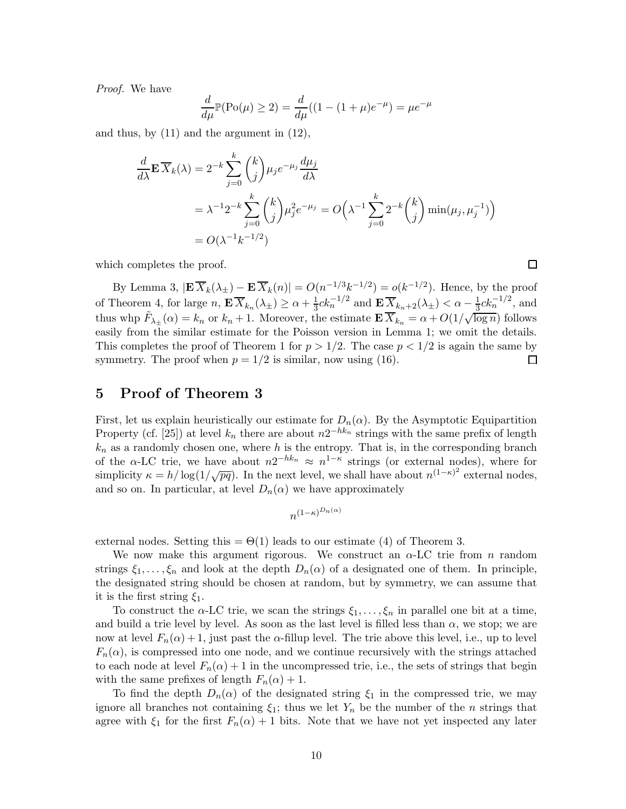*Proof.* We have

$$
\frac{d}{d\mu}\mathbb{P}(\text{Po}(\mu) \ge 2) = \frac{d}{d\mu}((1 - (1 + \mu)e^{-\mu}) = \mu e^{-\mu}
$$

and thus, by (11) and the argument in (12),

$$
\frac{d}{d\lambda} \mathbf{E} \overline{X}_k(\lambda) = 2^{-k} \sum_{j=0}^k {k \choose j} \mu_j e^{-\mu_j} \frac{d\mu_j}{d\lambda}
$$
  
\n
$$
= \lambda^{-1} 2^{-k} \sum_{j=0}^k {k \choose j} \mu_j^2 e^{-\mu_j} = O\left(\lambda^{-1} \sum_{j=0}^k 2^{-k} {k \choose j} \min(\mu_j, \mu_j^{-1})\right)
$$
  
\n
$$
= O(\lambda^{-1} k^{-1/2})
$$

 $\Box$ 

which completes the proof.

By Lemma 3,  $|\mathbf{E}\overline{X}_k(\lambda_{\pm}) - \mathbf{E}\overline{X}_k(n)| = O(n^{-1/3}k^{-1/2}) = o(k^{-1/2})$ . Hence, by the proof of Theorem 4, for large  $n$ ,  $\mathbf{E} \overline{X}_{k_n}(\lambda_{\pm}) \ge \alpha + \frac{1}{3}ck_n^{-1/2}$  and  $\mathbf{E} \overline{X}_{k_n+2}(\lambda_{\pm}) < \alpha - \frac{1}{3}ck_n^{-1/2}$ , and thus whp  $\tilde{F}_{\lambda_{\pm}}(\alpha) = k_n$  or  $k_n + 1$ . Moreover, the estimate  $\mathbf{E} \overline{X}_{k_n} = \alpha + O(1/\sqrt{\log n})$  easily from the similar estimate for the Poisson version in Lemma 1; we omit the details. This completes the proof of Theorem 1 for  $p > 1/2$ . The case  $p < 1/2$  is again the same by symmetry. The proof when  $p = 1/2$  is similar, now using (16). 囗

### **5 Proof of Theorem 3**

First, let us explain heuristically our estimate for  $D_n(\alpha)$ . By the Asymptotic Equipartition Property (cf. [25]) at level  $k_n$  there are about  $n2^{-hk_n}$  strings with the same prefix of length  $k_n$  as a randomly chosen one, where h is the entropy. That is, in the corresponding branch of the  $\alpha$ -LC trie, we have about  $n2^{-hk_n} \approx n^{1-\kappa}$  strings (or external nodes), where for simplicity  $\kappa = h/\log(1/\sqrt{pq})$ . In the next level, we shall have about  $n^{(1-\kappa)^2}$  external nodes, and so on. In particular, at level  $D_n(\alpha)$  we have approximately

$$
n^{(1-\kappa)^{D_n(\alpha)}}
$$

external nodes. Setting this  $= \Theta(1)$  leads to our estimate (4) of Theorem 3.

We now make this argument rigorous. We construct an  $\alpha$ -LC trie from n random strings  $\xi_1,\ldots,\xi_n$  and look at the depth  $D_n(\alpha)$  of a designated one of them. In principle, the designated string should be chosen at random, but by symmetry, we can assume that it is the first string  $\xi_1$ .

To construct the  $\alpha$ -LC trie, we scan the strings  $\xi_1,\ldots,\xi_n$  in parallel one bit at a time, and build a trie level by level. As soon as the last level is filled less than  $\alpha$ , we stop; we are now at level  $F_n(α) + 1$ , just past the α-fillup level. The trie above this level, i.e., up to level  $F_n(\alpha)$ , is compressed into one node, and we continue recursively with the strings attached to each node at level  $F_n(\alpha) + 1$  in the uncompressed trie, i.e., the sets of strings that begin with the same prefixes of length  $F_n(\alpha) + 1$ .

To find the depth  $D_n(\alpha)$  of the designated string  $\xi_1$  in the compressed trie, we may ignore all branches not containing  $\xi_1$ ; thus we let  $Y_n$  be the number of the *n* strings that agree with  $\xi_1$  for the first  $F_n(\alpha) + 1$  bits. Note that we have not yet inspected any later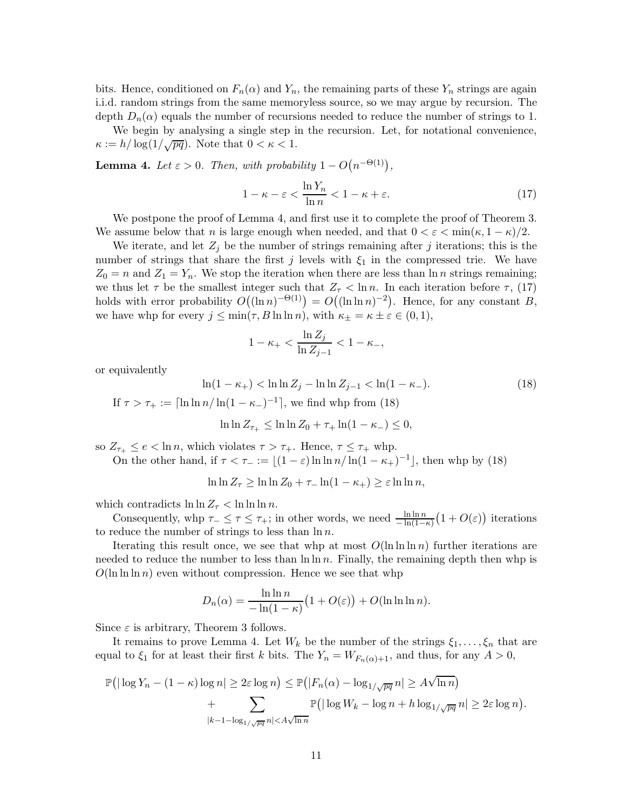bits. Hence, conditioned on  $F_n(\alpha)$  and  $Y_n$ , the remaining parts of these  $Y_n$  strings are again i.i.d. random strings from the same memoryless source, so we may argue by recursion. The depth  $D_n(\alpha)$  equals the number of recursions needed to reduce the number of strings to 1.

We begin by analysing a single step in the recursion. Let, for notational convenience,  $\kappa := h / \log(1/\sqrt{pq})$ . Note that  $0 < \kappa < 1$ .

**Lemma 4.** Let  $\varepsilon > 0$ . Then, with probability  $1 - O(n^{-\Theta(1)})$ ,

$$
1 - \kappa - \varepsilon < \frac{\ln Y_n}{\ln n} < 1 - \kappa + \varepsilon. \tag{17}
$$

We postpone the proof of Lemma 4, and first use it to complete the proof of Theorem 3. We assume below that n is large enough when needed, and that  $0 < \varepsilon < \min(\kappa, 1 - \kappa)/2$ .

We iterate, and let  $Z_j$  be the number of strings remaining after j iterations; this is the number of strings that share the first j levels with  $\xi_1$  in the compressed trie. We have  $Z_0 = n$  and  $Z_1 = Y_n$ . We stop the iteration when there are less than  $\ln n$  strings remaining; we thus let  $\tau$  be the smallest integer such that  $Z_{\tau} < \ln n$ . In each iteration before  $\tau$ , (17) holds with error probability  $O((\ln n)^{-\Theta(1)}) = O((\ln \ln n)^{-2})$ . Hence, for any constant B, we have whp for every  $j \le \min(\tau, B \ln \ln n)$ , with  $\kappa_{\pm} = \kappa \pm \varepsilon \in (0, 1)$ ,

$$
1 - \kappa_+ < \frac{\ln Z_j}{\ln Z_{j-1}} < 1 - \kappa_-,
$$

or equivalently

$$
\ln(1 - \kappa_{+}) < \ln \ln Z_{j} - \ln \ln Z_{j-1} < \ln(1 - \kappa_{-}).\tag{18}
$$
\n
$$
\text{If } \tau > \tau_{+} := \lceil \ln \ln n / \ln(1 - \kappa_{-})^{-1} \rceil, \text{ we find why from (18)}
$$

$$
\ln \ln Z_{\tau_+} \leq \ln \ln Z_0 + \tau_+ \ln (1 - \kappa_-) \leq 0,
$$

so  $Z_{\tau_+} \leq e < \ln n$ , which violates  $\tau > \tau_+$ . Hence,  $\tau \leq \tau_+$  whp. On the other hand, if  $\tau < \tau_{-} := \lfloor (1 - \varepsilon) \ln \ln n / \ln(1 - \kappa_{+})^{-1} \rfloor$ , then whp by (18)

 $\ln \ln Z_{\tau} \geq \ln \ln Z_0 + \tau_- \ln(1 - \kappa_+) \geq \varepsilon \ln \ln n,$ 

which contradicts  $\ln \ln Z_{\tau} < \ln \ln \ln n$ .

Consequently, whp  $\tau_{-} \leq \tau \leq \tau_{+}$ ; in other words, we need  $\frac{\ln \ln n}{-\ln(1-\kappa)}(1+O(\varepsilon))$  iterations reduce the number of strings to less than  $\ln n$ to reduce the number of strings to less than  $\ln n$ .

Iterating this result once, we see that whp at most  $O(\ln \ln n)$  further iterations are needed to reduce the number to less than  $\ln \ln n$ . Finally, the remaining depth then whp is  $O(\ln \ln \ln n)$  even without compression. Hence we see that whp

$$
D_n(\alpha) = \frac{\ln \ln n}{-\ln(1-\kappa)} \left(1 + O(\varepsilon)\right) + O(\ln \ln \ln n).
$$

Since  $\varepsilon$  is arbitrary, Theorem 3 follows.

It remains to prove Lemma 4. Let  $W_k$  be the number of the strings  $\xi_1,\ldots,\xi_n$  that are equal to  $\xi_1$  for at least their first k bits. The  $Y_n = W_{F_n(\alpha)+1}$ , and thus, for any  $A > 0$ ,

$$
\mathbb{P}\big(\big|\log Y_n - (1 - \kappa)\log n\big| \ge 2\varepsilon\log n\big) \le \mathbb{P}\big(|F_n(\alpha) - \log_{1/\sqrt{pq}} n| \ge A\sqrt{\ln n}\big) + \sum_{|k-1-\log_{1/\sqrt{pq}} n| < A\sqrt{\ln n}} \mathbb{P}\big(\big|\log W_k - \log n + h\log_{1/\sqrt{pq}} n| \ge 2\varepsilon\log n\big).
$$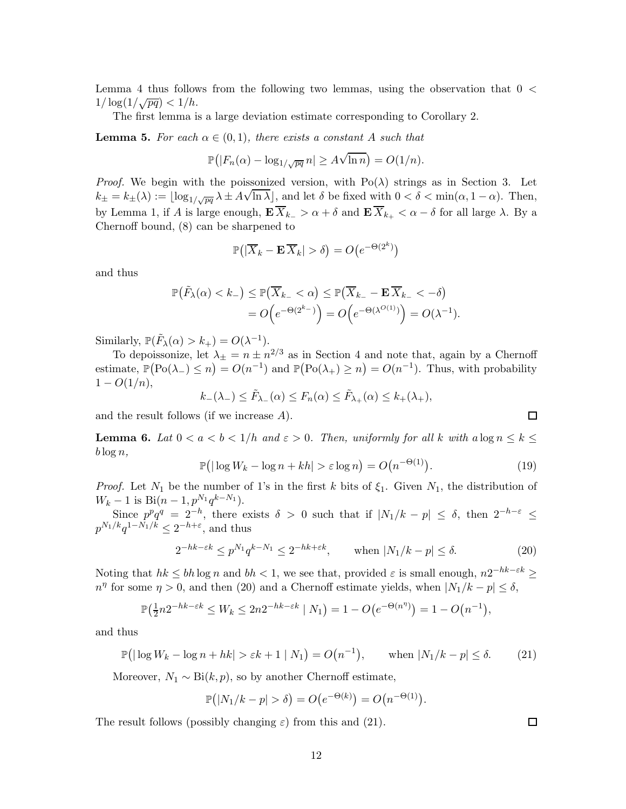Lemma 4 thus follows from the following two lemmas, using the observation that 0 <  $1/\log(1/\sqrt{pq}) < 1/h$ .

The first lemma is a large deviation estimate corresponding to Corollary 2.

**Lemma 5.** For each  $\alpha \in (0,1)$ , there exists a constant A such that

$$
\mathbb{P}(|F_n(\alpha) - \log_{1/\sqrt{pq}} n| \ge A\sqrt{\ln n}) = O(1/n).
$$

*Proof.* We begin with the poissonized version, with Po( $\lambda$ ) strings as in Section 3. Let  $k_{\pm} = k_{\pm}(\lambda) := \lfloor \log_{1/\sqrt{pq}} \lambda \pm A\sqrt{\ln \lambda} \rfloor$ , and let  $\delta$  be fixed with  $0 < \delta < \min(\alpha, 1 - \alpha)$ . Then, by Lemma 1, if A is large enough,  $\mathbf{E} \overline{X}_{k_-} > \alpha + \delta$  and  $\mathbf{E} \overline{X}_{k_+} < \alpha - \delta$  for all large  $\lambda$ . By a Chernoff bound, (8) can be sharpened to

$$
\mathbb{P}\big(|\overline{X}_k - \mathbf{E}\,\overline{X}_k| > \delta\big) = O\big(e^{-\Theta(2^k)}\big)
$$

and thus

$$
\mathbb{P}(\tilde{F}_{\lambda}(\alpha) < k_{-}) \leq \mathbb{P}(\overline{X}_{k_{-}} < \alpha) \leq \mathbb{P}(\overline{X}_{k_{-}} - \mathbf{E} \, \overline{X}_{k_{-}} < -\delta) \\
= O\Big(e^{-\Theta(2^{k_{-}})}\Big) = O\Big(e^{-\Theta(\lambda^{O(1)})}\Big) = O(\lambda^{-1}).
$$

Similarly,  $\mathbb{P}(\tilde{F}_{\lambda}(\alpha) > k_{+}) = O(\lambda^{-1}).$ 

To depoissonize, let  $\lambda_{\pm} = n \pm n^{2/3}$  as in Section 4 and note that, again by a Chernoff estimate,  $\mathbb{P}(\text{Po}(\lambda_-) \le n) = O(n^{-1})$  and  $\mathbb{P}(\text{Po}(\lambda_+) \ge n) = O(n^{-1})$ . Thus, with probability  $1 - O(1/n),$ 

$$
k_{-}(\lambda_{-}) \leq \tilde{F}_{\lambda_{-}}(\alpha) \leq F_{n}(\alpha) \leq \tilde{F}_{\lambda_{+}}(\alpha) \leq k_{+}(\lambda_{+}),
$$

and the result follows (if we increase A).

**Lemma 6.** Lat  $0 < a < b < 1/h$  and  $\varepsilon > 0$ . Then, uniformly for all k with  $a \log n \leq k \leq$  $b \log n$ ,

$$
\mathbb{P}\big(\big|\log W_k - \log n + kh\big| > \varepsilon \log n\big) = O\big(n^{-\Theta(1)}\big). \tag{19}
$$

*Proof.* Let  $N_1$  be the number of 1's in the first k bits of  $\xi_1$ . Given  $N_1$ , the distribution of  $W_k - 1$  is Bi $(n - 1, p^{N_1}q^{k - N_1}).$ 

Since  $p^pq^q = 2^{-h}$ , there exists  $\delta > 0$  such that if  $|N_1/k - p| \leq \delta$ , then  $2^{-h-\varepsilon} \leq$  $p^{N_1/k}q^{1-N_1/k} \leq 2^{-h+\varepsilon}$ , and thus

$$
2^{-hk-\varepsilon k} \le p^{N_1} q^{k-N_1} \le 2^{-hk+\varepsilon k}, \qquad \text{when } |N_1/k - p| \le \delta. \tag{20}
$$

Noting that  $hk \leq bh \log n$  and  $bh < 1$ , we see that, provided  $\varepsilon$  is small enough,  $n2^{-hk-\varepsilon k} \geq$  $n^{\eta}$  for some  $\eta > 0$ , and then (20) and a Chernoff estimate yields, when  $|N_1/k - p| \le \delta$ ,

$$
\mathbb{P}\left(\frac{1}{2}n2^{-hk-\varepsilon k} \le W_k \le 2n2^{-hk-\varepsilon k} \mid N_1\right) = 1 - O\big(e^{-\Theta(n^{\eta})}\big) = 1 - O\big(n^{-1}\big),
$$

and thus

$$
\mathbb{P}\big(|\log W_k - \log n + hk| > \varepsilon k + 1 \mid N_1\big) = O\big(n^{-1}\big), \qquad \text{when } |N_1/k - p| \le \delta. \tag{21}
$$

Moreover,  $N_1 \sim \text{Bi}(k, p)$ , so by another Chernoff estimate,

$$
\mathbb{P}(|N_1/k - p| > \delta) = O(e^{-\Theta(k)}) = O(n^{-\Theta(1)}).
$$

The result follows (possibly changing  $\varepsilon$ ) from this and (21).

 $\Box$ 

 $\Box$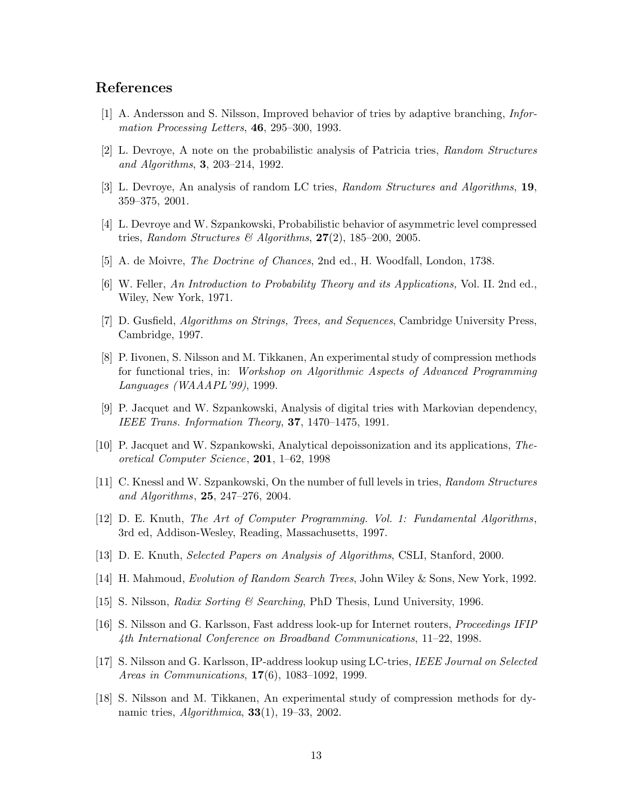### **References**

- [1] A. Andersson and S. Nilsson, Improved behavior of tries by adaptive branching, *Information Processing Letters*, **46**, 295–300, 1993.
- [2] L. Devroye, A note on the probabilistic analysis of Patricia tries, *Random Structures and Algorithms*, **3**, 203–214, 1992.
- [3] L. Devroye, An analysis of random LC tries, *Random Structures and Algorithms*, **19**, 359–375, 2001.
- [4] L. Devroye and W. Szpankowski, Probabilistic behavior of asymmetric level compressed tries, *Random Structures & Algorithms*, **27**(2), 185–200, 2005.
- [5] A. de Moivre, *The Doctrine of Chances*, 2nd ed., H. Woodfall, London, 1738.
- [6] W. Feller, *An Introduction to Probability Theory and its Applications,* Vol. II. 2nd ed., Wiley, New York, 1971.
- [7] D. Gusfield, *Algorithms on Strings, Trees, and Sequences*, Cambridge University Press, Cambridge, 1997.
- [8] P. Iivonen, S. Nilsson and M. Tikkanen, An experimental study of compression methods for functional tries, in: *Workshop on Algorithmic Aspects of Advanced Programming Languages (WAAAPL'99)*, 1999.
- [9] P. Jacquet and W. Szpankowski, Analysis of digital tries with Markovian dependency, *IEEE Trans. Information Theory*, **37**, 1470–1475, 1991.
- [10] P. Jacquet and W. Szpankowski, Analytical depoissonization and its applications, *Theoretical Computer Science*, **201**, 1–62, 1998
- [11] C. Knessl and W. Szpankowski, On the number of full levels in tries, *Random Structures and Algorithms*, **25**, 247–276, 2004.
- [12] D. E. Knuth, *The Art of Computer Programming. Vol. 1: Fundamental Algorithms*, 3rd ed, Addison-Wesley, Reading, Massachusetts, 1997.
- [13] D. E. Knuth, *Selected Papers on Analysis of Algorithms*, CSLI, Stanford, 2000.
- [14] H. Mahmoud, *Evolution of Random Search Trees*, John Wiley & Sons, New York, 1992.
- [15] S. Nilsson, *Radix Sorting & Searching*, PhD Thesis, Lund University, 1996.
- [16] S. Nilsson and G. Karlsson, Fast address look-up for Internet routers, *Proceedings IFIP 4th International Conference on Broadband Communications*, 11–22, 1998.
- [17] S. Nilsson and G. Karlsson, IP-address lookup using LC-tries, *IEEE Journal on Selected Areas in Communications*, **17**(6), 1083–1092, 1999.
- [18] S. Nilsson and M. Tikkanen, An experimental study of compression methods for dynamic tries, *Algorithmica*, **33**(1), 19–33, 2002.